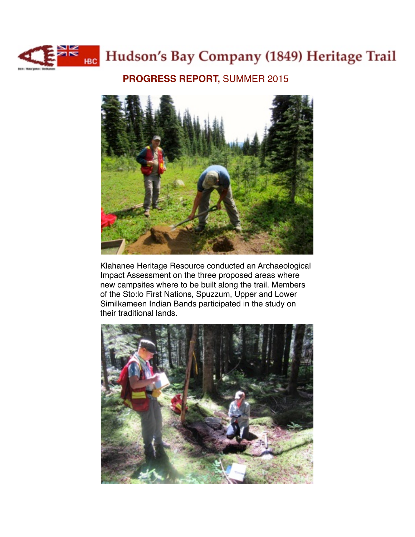

## **Example 1849** Hudson's Bay Company (1849) Heritage Trail

**PROGRESS REPORT,** SUMMER 2015



Klahanee Heritage Resource conducted an Archaeological Impact Assessment on the three proposed areas where new campsites where to be built along the trail. Members of the Sto:lo First Nations, Spuzzum, Upper and Lower Similkameen Indian Bands participated in the study on their traditional lands.

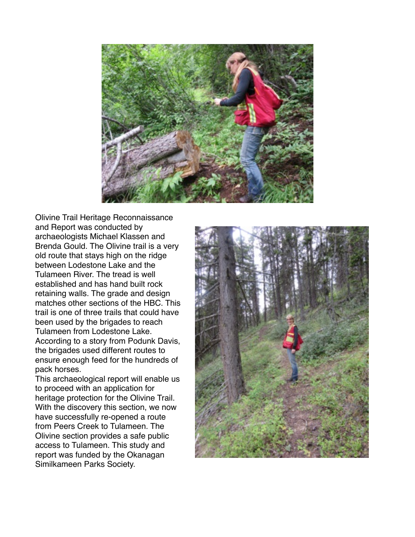

Olivine Trail Heritage Reconnaissance and Report was conducted by archaeologists Michael Klassen and Brenda Gould. The Olivine trail is a very old route that stays high on the ridge between Lodestone Lake and the Tulameen River. The tread is well established and has hand built rock retaining walls. The grade and design matches other sections of the HBC. This trail is one of three trails that could have been used by the brigades to reach Tulameen from Lodestone Lake. According to a story from Podunk Davis, the brigades used different routes to ensure enough feed for the hundreds of pack horses.

This archaeological report will enable us to proceed with an application for heritage protection for the Olivine Trail. With the discovery this section, we now have successfully re-opened a route from Peers Creek to Tulameen. The Olivine section provides a safe public access to Tulameen. This study and report was funded by the Okanagan Similkameen Parks Society.

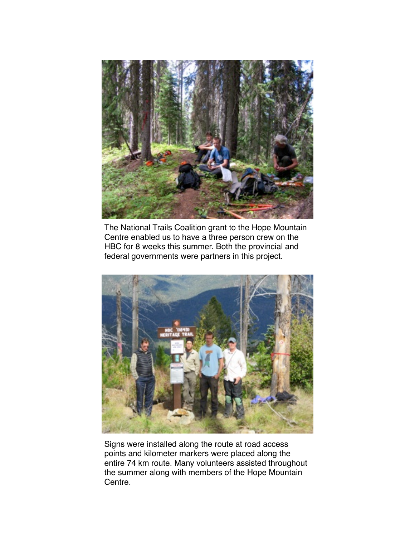

The National Trails Coalition grant to the Hope Mountain Centre enabled us to have a three person crew on the HBC for 8 weeks this summer. Both the provincial and federal governments were partners in this project.



Signs were installed along the route at road access points and kilometer markers were placed along the entire 74 km route. Many volunteers assisted throughout the summer along with members of the Hope Mountain Centre.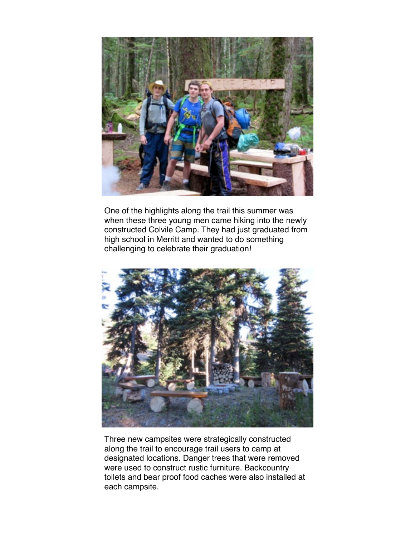

One of the highlights along the trail this summer was when these three young men came hiking into the newly constructed Colvile Camp. They had just graduated from high school in Merritt and wanted to do something challenging to celebrate their graduation!



Three new campsites were strategically constructed along the trail to encourage trail users to camp at designated locations. Danger trees that were removed were used to construct rustic furniture. Backcountry toilets and bear proof food caches were also installed at each campsite.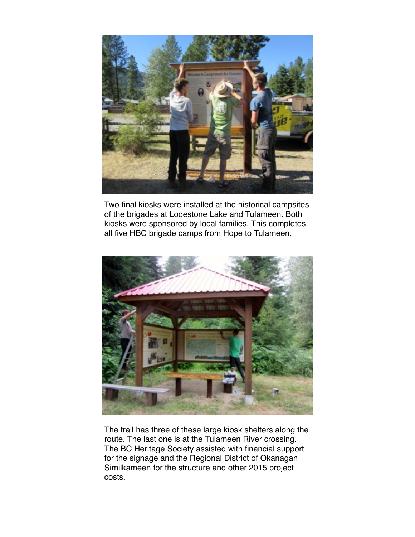

Two final kiosks were installed at the historical campsites of the brigades at Lodestone Lake and Tulameen. Both kiosks were sponsored by local families. This completes all five HBC brigade camps from Hope to Tulameen.



The trail has three of these large kiosk shelters along the route. The last one is at the Tulameen River crossing. The BC Heritage Society assisted with financial support for the signage and the Regional District of Okanagan Similkameen for the structure and other 2015 project costs.